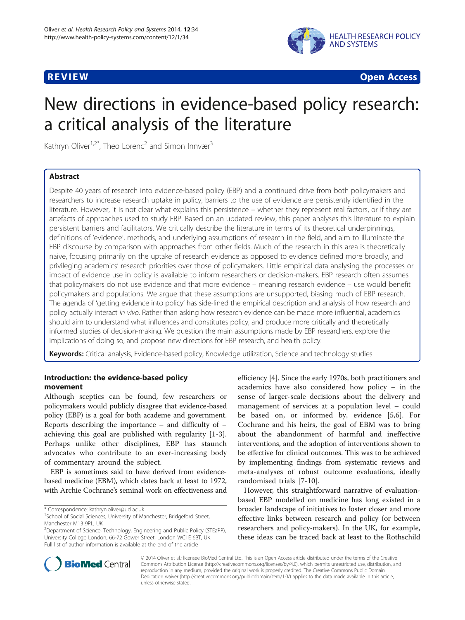

**REVIEW CONSTRUCTION CONSTRUCTION CONSTRUCTS** 

# New directions in evidence-based policy research: a critical analysis of the literature

Kathryn Oliver<sup>1,2\*</sup>, Theo Lorenc<sup>2</sup> and Simon Innvær<sup>3</sup>

# Abstract

Despite 40 years of research into evidence-based policy (EBP) and a continued drive from both policymakers and researchers to increase research uptake in policy, barriers to the use of evidence are persistently identified in the literature. However, it is not clear what explains this persistence – whether they represent real factors, or if they are artefacts of approaches used to study EBP. Based on an updated review, this paper analyses this literature to explain persistent barriers and facilitators. We critically describe the literature in terms of its theoretical underpinnings, definitions of 'evidence', methods, and underlying assumptions of research in the field, and aim to illuminate the EBP discourse by comparison with approaches from other fields. Much of the research in this area is theoretically naive, focusing primarily on the uptake of research evidence as opposed to evidence defined more broadly, and privileging academics' research priorities over those of policymakers. Little empirical data analysing the processes or impact of evidence use in policy is available to inform researchers or decision-makers. EBP research often assumes that policymakers do not use evidence and that more evidence – meaning research evidence – use would benefit policymakers and populations. We argue that these assumptions are unsupported, biasing much of EBP research. The agenda of 'getting evidence into policy' has side-lined the empirical description and analysis of how research and policy actually interact in vivo. Rather than asking how research evidence can be made more influential, academics should aim to understand what influences and constitutes policy, and produce more critically and theoretically informed studies of decision-making. We question the main assumptions made by EBP researchers, explore the implications of doing so, and propose new directions for EBP research, and health policy.

Keywords: Critical analysis, Evidence-based policy, Knowledge utilization, Science and technology studies

# Introduction: the evidence-based policy movement

Although sceptics can be found, few researchers or policymakers would publicly disagree that evidence-based policy (EBP) is a goal for both academe and government. Reports describing the importance – and difficulty of – achieving this goal are published with regularity [\[1](#page-8-0)-[3](#page-8-0)]. Perhaps unlike other disciplines, EBP has staunch advocates who contribute to an ever-increasing body of commentary around the subject.

EBP is sometimes said to have derived from evidencebased medicine (EBM), which dates back at least to 1972, with Archie Cochrane's seminal work on effectiveness and efficiency [[4\]](#page-8-0). Since the early 1970s, both practitioners and academics have also considered how policy – in the sense of larger-scale decisions about the delivery and management of services at a population level – could be based on, or informed by, evidence [[5,6\]](#page-8-0). For Cochrane and his heirs, the goal of EBM was to bring about the abandonment of harmful and ineffective interventions, and the adoption of interventions shown to be effective for clinical outcomes. This was to be achieved by implementing findings from systematic reviews and meta-analyses of robust outcome evaluations, ideally randomised trials [\[7](#page-8-0)-[10](#page-8-0)].

However, this straightforward narrative of evaluationbased EBP modelled on medicine has long existed in a broader landscape of initiatives to foster closer and more effective links between research and policy (or between researchers and policy-makers). In the UK, for example, these ideas can be traced back at least to the Rothschild



© 2014 Oliver et al.; licensee BioMed Central Ltd. This is an Open Access article distributed under the terms of the Creative Commons Attribution License [\(http://creativecommons.org/licenses/by/4.0\)](http://creativecommons.org/licenses/by/4.0), which permits unrestricted use, distribution, and reproduction in any medium, provided the original work is properly credited. The Creative Commons Public Domain Dedication waiver [\(http://creativecommons.org/publicdomain/zero/1.0/](http://creativecommons.org/publicdomain/zero/1.0/)) applies to the data made available in this article, unless otherwise stated.

<sup>\*</sup> Correspondence: [kathryn.oliver@ucl.ac.uk](mailto:kathryn.oliver@ucl.ac.uk) <sup>1</sup>

<sup>&</sup>lt;sup>1</sup> School of Social Sciences, University of Manchester, Bridgeford Street, Manchester M13 9PL, UK

<sup>2</sup> Department of Science, Technology, Engineering and Public Policy (STEaPP), University College London, 66-72 Gower Street, London WC1E 6BT, UK Full list of author information is available at the end of the article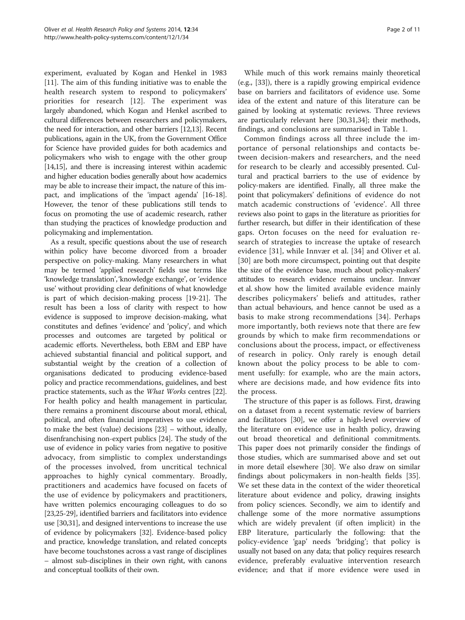experiment, evaluated by Kogan and Henkel in 1983 [[11\]](#page-8-0). The aim of this funding initiative was to enable the health research system to respond to policymakers' priorities for research [\[12](#page-8-0)]. The experiment was largely abandoned, which Kogan and Henkel ascribed to cultural differences between researchers and policymakers, the need for interaction, and other barriers [\[12,13](#page-8-0)]. Recent publications, again in the UK, from the Government Office for Science have provided guides for both academics and policymakers who wish to engage with the other group [[14,15\]](#page-8-0), and there is increasing interest within academic and higher education bodies generally about how academics may be able to increase their impact, the nature of this impact, and implications of the 'impact agenda' [[16](#page-8-0)-[18](#page-8-0)]. However, the tenor of these publications still tends to focus on promoting the use of academic research, rather than studying the practices of knowledge production and policymaking and implementation.

As a result, specific questions about the use of research within policy have become divorced from a broader perspective on policy-making. Many researchers in what may be termed 'applied research' fields use terms like 'knowledge translation', 'knowledge exchange', or 'evidence use' without providing clear definitions of what knowledge is part of which decision-making process [\[19-21](#page-8-0)]. The result has been a loss of clarity with respect to how evidence is supposed to improve decision-making, what constitutes and defines 'evidence' and 'policy', and which processes and outcomes are targeted by political or academic efforts. Nevertheless, both EBM and EBP have achieved substantial financial and political support, and substantial weight by the creation of a collection of organisations dedicated to producing evidence-based policy and practice recommendations, guidelines, and best practice statements, such as the What Works centres [[22](#page-8-0)]. For health policy and health management in particular, there remains a prominent discourse about moral, ethical, political, and often financial imperatives to use evidence to make the best (value) decisions [\[23](#page-8-0)] – without, ideally, disenfranchising non-expert publics [\[24\]](#page-8-0). The study of the use of evidence in policy varies from negative to positive advocacy, from simplistic to complex understandings of the processes involved, from uncritical technical approaches to highly cynical commentary. Broadly, practitioners and academics have focused on facets of the use of evidence by policymakers and practitioners, have written polemics encouraging colleagues to do so [[23,25](#page-8-0)-[29](#page-8-0)], identified barriers and facilitators into evidence use [[30,31](#page-8-0)], and designed interventions to increase the use of evidence by policymakers [[32](#page-8-0)]. Evidence-based policy and practice, knowledge translation, and related concepts have become touchstones across a vast range of disciplines – almost sub-disciplines in their own right, with canons and conceptual toolkits of their own.

While much of this work remains mainly theoretical (e.g., [\[33\]](#page-8-0)), there is a rapidly growing empirical evidence base on barriers and facilitators of evidence use. Some idea of the extent and nature of this literature can be gained by looking at systematic reviews. Three reviews are particularly relevant here [\[30,31,34\]](#page-8-0); their methods, findings, and conclusions are summarised in Table [1](#page-2-0).

Common findings across all three include the importance of personal relationships and contacts between decision-makers and researchers, and the need for research to be clearly and accessibly presented. Cultural and practical barriers to the use of evidence by policy-makers are identified. Finally, all three make the point that policymakers' definitions of evidence do not match academic constructions of 'evidence'. All three reviews also point to gaps in the literature as priorities for further research, but differ in their identification of these gaps. Orton focuses on the need for evaluation research of strategies to increase the uptake of research evidence [[31](#page-8-0)], while Innvær et al. [\[34](#page-8-0)] and Oliver et al. [[30](#page-8-0)] are both more circumspect, pointing out that despite the size of the evidence base, much about policy-makers' attitudes to research evidence remains unclear. Innvær et al. show how the limited available evidence mainly describes policymakers' beliefs and attitudes, rather than actual behaviours, and hence cannot be used as a basis to make strong recommendations [[34](#page-8-0)]. Perhaps more importantly, both reviews note that there are few grounds by which to make firm recommendations or conclusions about the process, impact, or effectiveness of research in policy. Only rarely is enough detail known about the policy process to be able to comment usefully: for example, who are the main actors, where are decisions made, and how evidence fits into the process.

The structure of this paper is as follows. First, drawing on a dataset from a recent systematic review of barriers and facilitators [\[30](#page-8-0)], we offer a high-level overview of the literature on evidence use in health policy, drawing out broad theoretical and definitional commitments. This paper does not primarily consider the findings of those studies, which are summarised above and set out in more detail elsewhere [\[30\]](#page-8-0). We also draw on similar findings about policymakers in non-health fields [\[35](#page-8-0)]. We set these data in the context of the wider theoretical literature about evidence and policy, drawing insights from policy sciences. Secondly, we aim to identify and challenge some of the more normative assumptions which are widely prevalent (if often implicit) in the EBP literature, particularly the following: that the policy-evidence 'gap' needs 'bridging'; that policy is usually not based on any data; that policy requires research evidence, preferably evaluative intervention research evidence; and that if more evidence were used in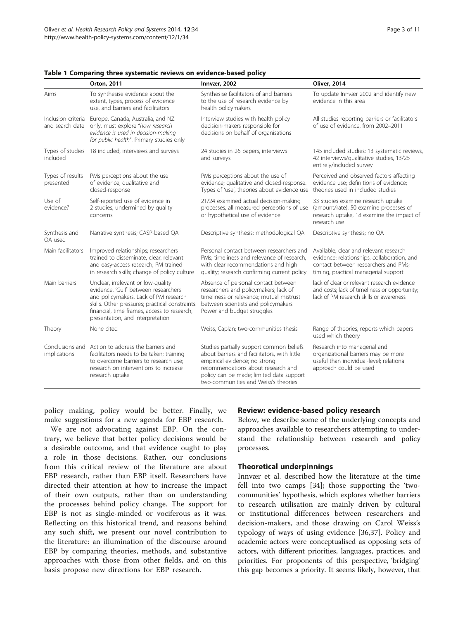|                               | Orton, 2011                                                                                                                                                                                                                                               | Innvær, 2002                                                                                                                                                                                                                                        | <b>Oliver, 2014</b>                                                                                                                                                   |
|-------------------------------|-----------------------------------------------------------------------------------------------------------------------------------------------------------------------------------------------------------------------------------------------------------|-----------------------------------------------------------------------------------------------------------------------------------------------------------------------------------------------------------------------------------------------------|-----------------------------------------------------------------------------------------------------------------------------------------------------------------------|
| Aims                          | To synthesise evidence about the<br>extent, types, process of evidence<br>use, and barriers and facilitators                                                                                                                                              | Synthesise facilitators of and barriers<br>to the use of research evidence by<br>health policymakers                                                                                                                                                | To update Innvær 2002 and identify new<br>evidence in this area                                                                                                       |
|                               | Inclusion criteria Europe, Canada, Australia, and NZ<br>and search date only, must explore "how research<br>evidence is used in decision-making<br>for public health". Primary studies only                                                               | Interview studies with health policy<br>decision-makers responsible for<br>decisions on behalf of organisations                                                                                                                                     | All studies reporting barriers or facilitators<br>of use of evidence, from 2002-2011                                                                                  |
| included                      | Types of studies 18 included, interviews and surveys                                                                                                                                                                                                      | 24 studies in 26 papers, interviews<br>and surveys                                                                                                                                                                                                  | 145 included studies: 13 systematic reviews,<br>42 interviews/qualitative studies, 13/25<br>entirely/included survey                                                  |
| Types of results<br>presented | PMs perceptions about the use<br>of evidence; qualitative and<br>closed-response                                                                                                                                                                          | PMs perceptions about the use of<br>evidence; qualitative and closed-response.<br>Types of 'use', theories about evidence use                                                                                                                       | Perceived and observed factors affecting<br>evidence use: definitions of evidence:<br>theories used in included studies                                               |
| Use of<br>evidence?           | Self-reported use of evidence in<br>2 studies, undermined by quality<br>concerns                                                                                                                                                                          | 21/24 examined actual decision-making<br>processes, all measured perceptions of use<br>or hypothetical use of evidence                                                                                                                              | 33 studies examine research uptake<br>(amount/rate), 50 examine processes of<br>research uptake, 18 examine the impact of<br>research use                             |
| Synthesis and<br>OA used      | Narrative synthesis; CASP-based QA                                                                                                                                                                                                                        | Descriptive synthesis; methodological QA                                                                                                                                                                                                            | Descriptive synthesis; no QA                                                                                                                                          |
| Main facilitators             | Improved relationships; researchers<br>trained to disseminate, clear, relevant<br>and easy-access research; PM trained<br>in research skills; change of policy culture                                                                                    | Personal contact between researchers and<br>PMs; timeliness and relevance of research,<br>with clear recommendations and high<br>quality; research confirming current policy                                                                        | Available, clear and relevant research<br>evidence; relationships, collaboration, and<br>contact between researchers and PMs:<br>timing, practical managerial support |
| Main barriers                 | Unclear, irrelevant or low-quality<br>evidence. 'Gulf' between researchers<br>and policymakers. Lack of PM research<br>skills. Other pressures; practical constraints:<br>financial, time frames, access to research,<br>presentation, and interpretation | Absence of personal contact between<br>researchers and policymakers; lack of<br>timeliness or relevance; mutual mistrust<br>between scientists and policymakers<br>Power and budget struggles                                                       | lack of clear or relevant research evidence<br>and costs; lack of timeliness or opportunity;<br>lack of PM research skills or awareness                               |
| Theory                        | None cited                                                                                                                                                                                                                                                | Weiss, Caplan; two-communities thesis                                                                                                                                                                                                               | Range of theories, reports which papers<br>used which theory                                                                                                          |
| implications                  | Conclusions and Action to address the barriers and<br>facilitators needs to be taken; training<br>to overcome barriers to research use;<br>research on interventions to increase<br>research uptake                                                       | Studies partially support common beliefs<br>about barriers and facilitators, with little<br>empirical evidence; no strong<br>recommendations about research and<br>policy can be made; limited data support<br>two-communities and Weiss's theories | Research into managerial and<br>organizational barriers may be more<br>useful than individual-level; relational<br>approach could be used                             |

#### <span id="page-2-0"></span>Table 1 Comparing three systematic reviews on evidence-based policy

policy making, policy would be better. Finally, we make suggestions for a new agenda for EBP research.

We are not advocating against EBP. On the contrary, we believe that better policy decisions would be a desirable outcome, and that evidence ought to play a role in those decisions. Rather, our conclusions from this critical review of the literature are about EBP research, rather than EBP itself. Researchers have directed their attention at how to increase the impact of their own outputs, rather than on understanding the processes behind policy change. The support for EBP is not as single-minded or vociferous as it was. Reflecting on this historical trend, and reasons behind any such shift, we present our novel contribution to the literature: an illumination of the discourse around EBP by comparing theories, methods, and substantive approaches with those from other fields, and on this basis propose new directions for EBP research.

### Review: evidence-based policy research

Below, we describe some of the underlying concepts and approaches available to researchers attempting to understand the relationship between research and policy processes.

#### Theoretical underpinnings

Innvær et al. described how the literature at the time fell into two camps [\[34](#page-8-0)]; those supporting the 'twocommunities' hypothesis, which explores whether barriers to research utilisation are mainly driven by cultural or institutional differences between researchers and decision-makers, and those drawing on Carol Weiss's typology of ways of using evidence [\[36](#page-8-0),[37\]](#page-8-0). Policy and academic actors were conceptualised as opposing sets of actors, with different priorities, languages, practices, and priorities. For proponents of this perspective, 'bridging' this gap becomes a priority. It seems likely, however, that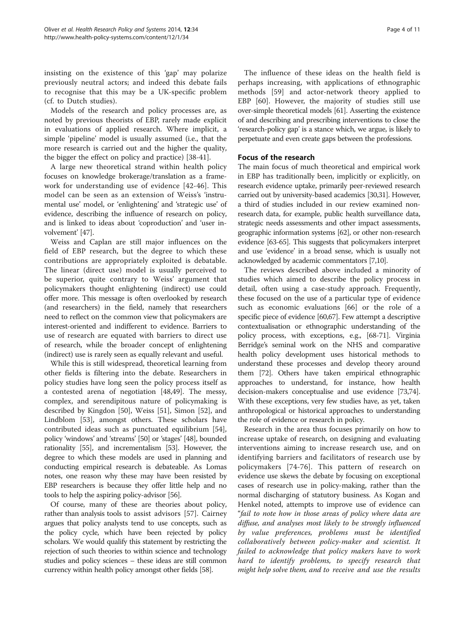insisting on the existence of this 'gap' may polarize previously neutral actors; and indeed this debate fails to recognise that this may be a UK-specific problem (cf. to Dutch studies).

Models of the research and policy processes are, as noted by previous theorists of EBP, rarely made explicit in evaluations of applied research. Where implicit, a simple 'pipeline' model is usually assumed (i.e., that the more research is carried out and the higher the quality, the bigger the effect on policy and practice) [[38-41\]](#page-8-0).

A large new theoretical strand within health policy focuses on knowledge brokerage/translation as a framework for understanding use of evidence [[42](#page-8-0)-[46](#page-9-0)]. This model can be seen as an extension of Weiss's 'instrumental use' model, or 'enlightening' and 'strategic use' of evidence, describing the influence of research on policy, and is linked to ideas about 'coproduction' and 'user involvement' [[47](#page-9-0)].

Weiss and Caplan are still major influences on the field of EBP research, but the degree to which these contributions are appropriately exploited is debatable. The linear (direct use) model is usually perceived to be superior, quite contrary to Weiss' argument that policymakers thought enlightening (indirect) use could offer more. This message is often overlooked by research (and researchers) in the field, namely that researchers need to reflect on the common view that policymakers are interest-oriented and indifferent to evidence. Barriers to use of research are equated with barriers to direct use of research, while the broader concept of enlightening (indirect) use is rarely seen as equally relevant and useful.

While this is still widespread, theoretical learning from other fields is filtering into the debate. Researchers in policy studies have long seen the policy process itself as a contested arena of negotiation [[48,49\]](#page-9-0). The messy, complex, and serendipitous nature of policymaking is described by Kingdon [\[50](#page-9-0)], Weiss [[51](#page-9-0)], Simon [[52](#page-9-0)], and Lindblom [[53\]](#page-9-0), amongst others. These scholars have contributed ideas such as punctuated equilibrium [\[54](#page-9-0)], policy 'windows' and 'streams' [[50](#page-9-0)] or 'stages' [\[48\]](#page-9-0), bounded rationality [\[55\]](#page-9-0), and incrementalism [\[53\]](#page-9-0). However, the degree to which these models are used in planning and conducting empirical research is debateable. As Lomas notes, one reason why these may have been resisted by EBP researchers is because they offer little help and no tools to help the aspiring policy-advisor [\[56\]](#page-9-0).

Of course, many of these are theories about policy, rather than analysis tools to assist advisors [[57\]](#page-9-0). Cairney argues that policy analysts tend to use concepts, such as the policy cycle, which have been rejected by policy scholars. We would qualify this statement by restricting the rejection of such theories to within science and technology studies and policy sciences – these ideas are still common currency within health policy amongst other fields [[58](#page-9-0)].

The influence of these ideas on the health field is perhaps increasing, with applications of ethnographic methods [[59\]](#page-9-0) and actor-network theory applied to EBP [[60\]](#page-9-0). However, the majority of studies still use over-simple theoretical models [\[61](#page-9-0)]. Asserting the existence of and describing and prescribing interventions to close the 'research-policy gap' is a stance which, we argue, is likely to perpetuate and even create gaps between the professions.

# Focus of the research

The main focus of much theoretical and empirical work in EBP has traditionally been, implicitly or explicitly, on research evidence uptake, primarily peer-reviewed research carried out by university-based academics [\[30,31](#page-8-0)]. However, a third of studies included in our review examined nonresearch data, for example, public health surveillance data, strategic needs assessments and other impact assessments, geographic information systems [\[62\]](#page-9-0), or other non-research evidence [\[63](#page-9-0)-[65](#page-9-0)]. This suggests that policymakers interpret and use 'evidence' in a broad sense, which is usually not acknowledged by academic commentators [[7,10\]](#page-8-0).

The reviews described above included a minority of studies which aimed to describe the policy process in detail, often using a case-study approach. Frequently, these focused on the use of a particular type of evidence such as economic evaluations [[66\]](#page-9-0) or the role of a specific piece of evidence [\[60,67](#page-9-0)]. Few attempt a descriptive contextualisation or ethnographic understanding of the policy process, with exceptions, e.g., [[68](#page-9-0)-[71](#page-9-0)]. Virginia Berridge's seminal work on the NHS and comparative health policy development uses historical methods to understand these processes and develop theory around them [\[72\]](#page-9-0). Others have taken empirical ethnographic approaches to understand, for instance, how health decision-makers conceptualise and use evidence [\[73,74](#page-9-0)]. With these exceptions, very few studies have, as yet, taken anthropological or historical approaches to understanding the role of evidence or research in policy.

Research in the area thus focuses primarily on how to increase uptake of research, on designing and evaluating interventions aiming to increase research use, and on identifying barriers and facilitators of research use by policymakers [[74-76\]](#page-9-0). This pattern of research on evidence use skews the debate by focusing on exceptional cases of research use in policy-making, rather than the normal discharging of statutory business. As Kogan and Henkel noted, attempts to improve use of evidence can "fail to note how in those areas of policy where data are diffuse, and analyses most likely to be strongly influenced by value preferences, problems must be identified collaboratively between policy-maker and scientist. It failed to acknowledge that policy makers have to work hard to identify problems, to specify research that might help solve them, and to receive and use the results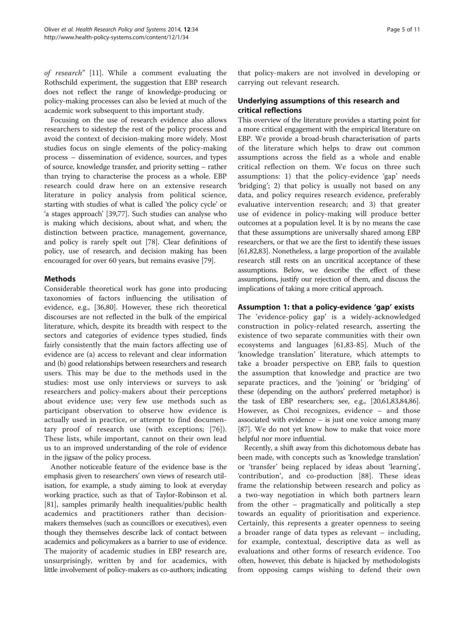of research" [[11](#page-8-0)]. While a comment evaluating the Rothschild experiment, the suggestion that EBP research does not reflect the range of knowledge-producing or policy-making processes can also be levied at much of the academic work subsequent to this important study.

Focusing on the use of research evidence also allows researchers to sidestep the rest of the policy process and avoid the context of decision-making more widely. Most studies focus on single elements of the policy-making process – dissemination of evidence, sources, and types of source, knowledge transfer, and priority setting – rather than trying to characterise the process as a whole. EBP research could draw here on an extensive research literature in policy analysis from political science, starting with studies of what is called 'the policy cycle' or 'a stages approach' [[39,](#page-8-0)[77](#page-9-0)]. Such studies can analyse who is making which decisions, about what, and when; the distinction between practice, management, governance, and policy is rarely spelt out [\[78](#page-9-0)]. Clear definitions of policy, use of research, and decision making has been encouraged for over 60 years, but remains evasive [\[79\]](#page-9-0).

# Methods

Considerable theoretical work has gone into producing taxonomies of factors influencing the utilisation of evidence, e.g., [[36,](#page-8-0)[80](#page-9-0)]. However, these rich theoretical discourses are not reflected in the bulk of the empirical literature, which, despite its breadth with respect to the sectors and categories of evidence types studied, finds fairly consistently that the main factors affecting use of evidence are (a) access to relevant and clear information and (b) good relationships between researchers and research users. This may be due to the methods used in the studies: most use only interviews or surveys to ask researchers and policy-makers about their perceptions about evidence use; very few use methods such as participant observation to observe how evidence is actually used in practice, or attempt to find documentary proof of research use (with exceptions; [[76\]](#page-9-0)). These lists, while important, cannot on their own lead us to an improved understanding of the role of evidence in the jigsaw of the policy process.

Another noticeable feature of the evidence base is the emphasis given to researchers' own views of research utilisation, for example, a study aiming to look at everyday working practice, such as that of Taylor-Robinson et al. [[81](#page-9-0)], samples primarily health inequalities/public health academics and practitioners rather than decisionmakers themselves (such as councillors or executives), even though they themselves describe lack of contact between academics and policymakers as a barrier to use of evidence. The majority of academic studies in EBP research are, unsurprisingly, written by and for academics, with little involvement of policy-makers as co-authors; indicating that policy-makers are not involved in developing or carrying out relevant research.

# Underlying assumptions of this research and critical reflections

This overview of the literature provides a starting point for a more critical engagement with the empirical literature on EBP. We provide a broad-brush characterisation of parts of the literature which helps to draw out common assumptions across the field as a whole and enable critical reflection on them. We focus on three such assumptions: 1) that the policy-evidence 'gap' needs 'bridging'; 2) that policy is usually not based on any data, and policy requires research evidence, preferably evaluative intervention research; and 3) that greater use of evidence in policy-making will produce better outcomes at a population level. It is by no means the case that these assumptions are universally shared among EBP researchers, or that we are the first to identify these issues [[61](#page-9-0),[82,83\]](#page-9-0). Nonetheless, a large proportion of the available research still rests on an uncritical acceptance of these assumptions. Below, we describe the effect of these assumptions, justify our rejection of them, and discuss the implications of taking a more critical approach.

# Assumption 1: that a policy-evidence 'gap' exists

The 'evidence-policy gap' is a widely-acknowledged construction in policy-related research, asserting the existence of two separate communities with their own ecosystems and languages [[61,83](#page-9-0)-[85\]](#page-9-0). Much of the 'knowledge translation' literature, which attempts to take a broader perspective on EBP, fails to question the assumption that knowledge and practice are two separate practices, and the 'joining' or 'bridging' of these (depending on the authors' preferred metaphor) is the task of EBP researchers; see, e.g., [\[20](#page-8-0)[,61,83,84,86](#page-9-0)]. However, as Choi recognizes, evidence – and those associated with evidence – is just one voice among many [[87](#page-9-0)]. We do not yet know how to make that voice more helpful nor more influential.

Recently, a shift away from this dichotomous debate has been made, with concepts such as 'knowledge translation' or 'transfer' being replaced by ideas about 'learning', 'contribution', and co-production [[88\]](#page-9-0). These ideas frame the relationship between research and policy as a two-way negotiation in which both partners learn from the other – pragmatically and politically a step towards an equality of prioritisation and experience. Certainly, this represents a greater openness to seeing a broader range of data types as relevant – including, for example, contextual, descriptive data as well as evaluations and other forms of research evidence. Too often, however, this debate is hijacked by methodologists from opposing camps wishing to defend their own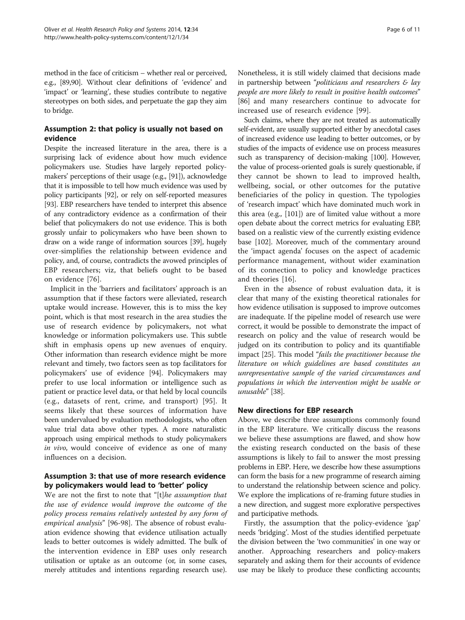method in the face of criticism – whether real or perceived, e.g., [[89,90\]](#page-9-0). Without clear definitions of 'evidence' and 'impact' or 'learning', these studies contribute to negative stereotypes on both sides, and perpetuate the gap they aim to bridge.

# Assumption 2: that policy is usually not based on evidence

Despite the increased literature in the area, there is a surprising lack of evidence about how much evidence policymakers use. Studies have largely reported policymakers' perceptions of their usage (e.g., [\[91\]](#page-9-0)), acknowledge that it is impossible to tell how much evidence was used by policy participants [[92](#page-9-0)], or rely on self-reported measures [[93](#page-9-0)]. EBP researchers have tended to interpret this absence of any contradictory evidence as a confirmation of their belief that policymakers do not use evidence. This is both grossly unfair to policymakers who have been shown to draw on a wide range of information sources [[39](#page-8-0)], hugely over-simplifies the relationship between evidence and policy, and, of course, contradicts the avowed principles of EBP researchers; viz, that beliefs ought to be based on evidence [[76\]](#page-9-0).

Implicit in the 'barriers and facilitators' approach is an assumption that if these factors were alleviated, research uptake would increase. However, this is to miss the key point, which is that most research in the area studies the use of research evidence by policymakers, not what knowledge or information policymakers use. This subtle shift in emphasis opens up new avenues of enquiry. Other information than research evidence might be more relevant and timely, two factors seen as top facilitators for policymakers' use of evidence [\[94\]](#page-9-0). Policymakers may prefer to use local information or intelligence such as patient or practice level data, or that held by local councils (e.g., datasets of rent, crime, and transport) [[95\]](#page-9-0). It seems likely that these sources of information have been undervalued by evaluation methodologists, who often value trial data above other types. A more naturalistic approach using empirical methods to study policymakers in vivo, would conceive of evidence as one of many influences on a decision.

# Assumption 3: that use of more research evidence by policymakers would lead to 'better' policy

We are not the first to note that "[t]he assumption that the use of evidence would improve the outcome of the policy process remains relatively untested by any form of empirical analysis" [\[96](#page-9-0)-[98](#page-10-0)]. The absence of robust evaluation evidence showing that evidence utilisation actually leads to better outcomes is widely admitted. The bulk of the intervention evidence in EBP uses only research utilisation or uptake as an outcome (or, in some cases, merely attitudes and intentions regarding research use).

Nonetheless, it is still widely claimed that decisions made in partnership between "politicians and researchers  $\varepsilon$  lay people are more likely to result in positive health outcomes" [[86](#page-9-0)] and many researchers continue to advocate for

increased use of research evidence [[99\]](#page-10-0).

Such claims, where they are not treated as automatically self-evident, are usually supported either by anecdotal cases of increased evidence use leading to better outcomes, or by studies of the impacts of evidence use on process measures such as transparency of decision-making [\[100](#page-10-0)]. However, the value of process-oriented goals is surely questionable, if they cannot be shown to lead to improved health, wellbeing, social, or other outcomes for the putative beneficiaries of the policy in question. The typologies of 'research impact' which have dominated much work in this area (e.g., [[101](#page-10-0)]) are of limited value without a more open debate about the correct metrics for evaluating EBP, based on a realistic view of the currently existing evidence base [[102](#page-10-0)]. Moreover, much of the commentary around the 'impact agenda' focuses on the aspect of academic performance management, without wider examination of its connection to policy and knowledge practices and theories [\[16](#page-8-0)].

Even in the absence of robust evaluation data, it is clear that many of the existing theoretical rationales for how evidence utilisation is supposed to improve outcomes are inadequate. If the pipeline model of research use were correct, it would be possible to demonstrate the impact of research on policy and the value of research would be judged on its contribution to policy and its quantifiable impact [\[25\]](#page-8-0). This model "fails the practitioner because the literature on which guidelines are based constitutes an unrepresentative sample of the varied circumstances and populations in which the intervention might be usable or unusable" [\[38\]](#page-8-0).

# New directions for EBP research

Above, we describe three assumptions commonly found in the EBP literature. We critically discuss the reasons we believe these assumptions are flawed, and show how the existing research conducted on the basis of these assumptions is likely to fail to answer the most pressing problems in EBP. Here, we describe how these assumptions can form the basis for a new programme of research aiming to understand the relationship between science and policy. We explore the implications of re-framing future studies in a new direction, and suggest more explorative perspectives and participative methods.

Firstly, the assumption that the policy-evidence 'gap' needs 'bridging'. Most of the studies identified perpetuate the division between the 'two communities' in one way or another. Approaching researchers and policy-makers separately and asking them for their accounts of evidence use may be likely to produce these conflicting accounts;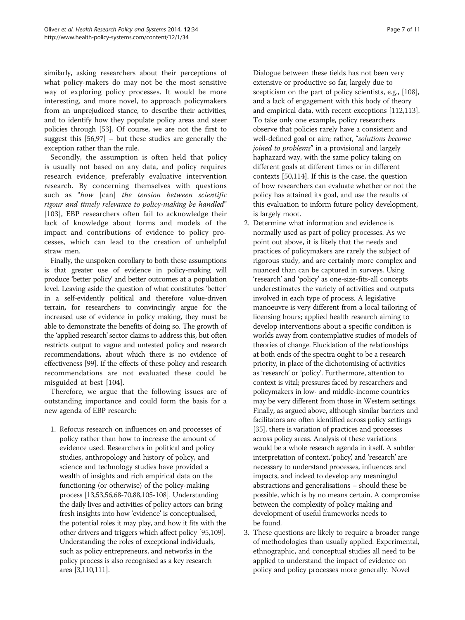similarly, asking researchers about their perceptions of what policy-makers do may not be the most sensitive way of exploring policy processes. It would be more interesting, and more novel, to approach policymakers from an unprejudiced stance, to describe their activities, and to identify how they populate policy areas and steer policies through [\[53\]](#page-9-0). Of course, we are not the first to suggest this [\[56,](#page-9-0)[97](#page-10-0)] – but these studies are generally the exception rather than the rule.

Secondly, the assumption is often held that policy is usually not based on any data, and policy requires research evidence, preferably evaluative intervention research. By concerning themselves with questions such as "how [can] the tension between scientific rigour and timely relevance to policy-making be handled" [[103\]](#page-10-0), EBP researchers often fail to acknowledge their lack of knowledge about forms and models of the impact and contributions of evidence to policy processes, which can lead to the creation of unhelpful straw men.

Finally, the unspoken corollary to both these assumptions is that greater use of evidence in policy-making will produce 'better policy' and better outcomes at a population level. Leaving aside the question of what constitutes 'better' in a self-evidently political and therefore value-driven terrain, for researchers to convincingly argue for the increased use of evidence in policy making, they must be able to demonstrate the benefits of doing so. The growth of the 'applied research'sector claims to address this, but often restricts output to vague and untested policy and research recommendations, about which there is no evidence of effectiveness [\[99\]](#page-10-0). If the effects of these policy and research recommendations are not evaluated these could be misguided at best [[104\]](#page-10-0).

Therefore, we argue that the following issues are of outstanding importance and could form the basis for a new agenda of EBP research:

1. Refocus research on influences on and processes of policy rather than how to increase the amount of evidence used. Researchers in political and policy studies, anthropology and history of policy, and science and technology studies have provided a wealth of insights and rich empirical data on the functioning (or otherwise) of the policy-making process [\[13,](#page-8-0)[53,56,68](#page-9-0)-[70,88,](#page-9-0)[105-108](#page-10-0)]. Understanding the daily lives and activities of policy actors can bring fresh insights into how 'evidence' is conceptualised, the potential roles it may play, and how it fits with the other drivers and triggers which affect policy [\[95](#page-9-0),[109\]](#page-10-0). Understanding the roles of exceptional individuals, such as policy entrepreneurs, and networks in the policy process is also recognised as a key research area [\[3](#page-8-0)[,110,111](#page-10-0)].

Dialogue between these fields has not been very extensive or productive so far, largely due to scepticism on the part of policy scientists, e.g., [[108](#page-10-0)], and a lack of engagement with this body of theory and empirical data, with recent exceptions [[112,113\]](#page-10-0). To take only one example, policy researchers observe that policies rarely have a consistent and well-defined goal or aim; rather, "solutions become joined to problems" in a provisional and largely haphazard way, with the same policy taking on different goals at different times or in different contexts [\[50,](#page-9-0)[114\]](#page-10-0). If this is the case, the question of how researchers can evaluate whether or not the policy has attained its goal, and use the results of this evaluation to inform future policy development, is largely moot.

- 2. Determine what information and evidence is normally used as part of policy processes. As we point out above, it is likely that the needs and practices of policymakers are rarely the subject of rigorous study, and are certainly more complex and nuanced than can be captured in surveys. Using 'research' and 'policy' as one-size-fits-all concepts underestimates the variety of activities and outputs involved in each type of process. A legislative manoeuvre is very different from a local tailoring of licensing hours; applied health research aiming to develop interventions about a specific condition is worlds away from contemplative studies of models of theories of change. Elucidation of the relationships at both ends of the spectra ought to be a research priority, in place of the dichotomising of activities as 'research' or 'policy'. Furthermore, attention to context is vital; pressures faced by researchers and policymakers in low- and middle-income countries may be very different from those in Western settings. Finally, as argued above, although similar barriers and facilitators are often identified across policy settings [\[35\]](#page-8-0), there is variation of practices and processes across policy areas. Analysis of these variations would be a whole research agenda in itself. A subtler interpretation of context, 'policy', and 'research' are necessary to understand processes, influences and impacts, and indeed to develop any meaningful abstractions and generalisations – should these be possible, which is by no means certain. A compromise between the complexity of policy making and development of useful frameworks needs to be found.
- 3. These questions are likely to require a broader range of methodologies than usually applied. Experimental, ethnographic, and conceptual studies all need to be applied to understand the impact of evidence on policy and policy processes more generally. Novel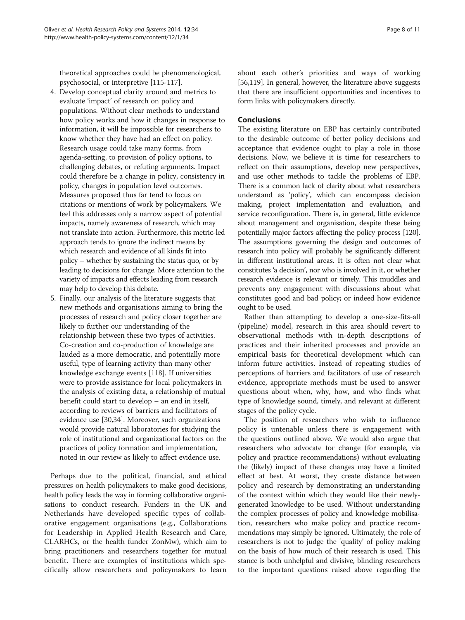theoretical approaches could be phenomenological, psychosocial, or interpretive [[115](#page-10-0)-[117](#page-10-0)].

- 4. Develop conceptual clarity around and metrics to evaluate 'impact' of research on policy and populations. Without clear methods to understand how policy works and how it changes in response to information, it will be impossible for researchers to know whether they have had an effect on policy. Research usage could take many forms, from agenda-setting, to provision of policy options, to challenging debates, or refuting arguments. Impact could therefore be a change in policy, consistency in policy, changes in population level outcomes. Measures proposed thus far tend to focus on citations or mentions of work by policymakers. We feel this addresses only a narrow aspect of potential impacts, namely awareness of research, which may not translate into action. Furthermore, this metric-led approach tends to ignore the indirect means by which research and evidence of all kinds fit into policy – whether by sustaining the status quo, or by leading to decisions for change. More attention to the variety of impacts and effects leading from research may help to develop this debate.
- 5. Finally, our analysis of the literature suggests that new methods and organisations aiming to bring the processes of research and policy closer together are likely to further our understanding of the relationship between these two types of activities. Co-creation and co-production of knowledge are lauded as a more democratic, and potentially more useful, type of learning activity than many other knowledge exchange events [[118\]](#page-10-0). If universities were to provide assistance for local policymakers in the analysis of existing data, a relationship of mutual benefit could start to develop – an end in itself, according to reviews of barriers and facilitators of evidence use [\[30,34\]](#page-8-0). Moreover, such organizations would provide natural laboratories for studying the role of institutional and organizational factors on the practices of policy formation and implementation, noted in our review as likely to affect evidence use.

Perhaps due to the political, financial, and ethical pressures on health policymakers to make good decisions, health policy leads the way in forming collaborative organisations to conduct research. Funders in the UK and Netherlands have developed specific types of collaborative engagement organisations (e.g., Collaborations for Leadership in Applied Health Research and Care, CLARHCs, or the health funder ZonMw), which aim to bring practitioners and researchers together for mutual benefit. There are examples of institutions which specifically allow researchers and policymakers to learn about each other's priorities and ways of working [[56](#page-9-0),[119](#page-10-0)]. In general, however, the literature above suggests that there are insufficient opportunities and incentives to form links with policymakers directly.

# **Conclusions**

The existing literature on EBP has certainly contributed to the desirable outcome of better policy decisions and acceptance that evidence ought to play a role in those decisions. Now, we believe it is time for researchers to reflect on their assumptions, develop new perspectives, and use other methods to tackle the problems of EBP. There is a common lack of clarity about what researchers understand as 'policy', which can encompass decision making, project implementation and evaluation, and service reconfiguration. There is, in general, little evidence about management and organisation, despite these being potentially major factors affecting the policy process [\[120](#page-10-0)]. The assumptions governing the design and outcomes of research into policy will probably be significantly different in different institutional areas. It is often not clear what constitutes 'a decision', nor who is involved in it, or whether research evidence is relevant or timely. This muddles and prevents any engagement with discussions about what constitutes good and bad policy; or indeed how evidence ought to be used.

Rather than attempting to develop a one-size-fits-all (pipeline) model, research in this area should revert to observational methods with in-depth descriptions of practices and their inherited processes and provide an empirical basis for theoretical development which can inform future activities. Instead of repeating studies of perceptions of barriers and facilitators of use of research evidence, appropriate methods must be used to answer questions about when, why, how, and who finds what type of knowledge sound, timely, and relevant at different stages of the policy cycle.

The position of researchers who wish to influence policy is untenable unless there is engagement with the questions outlined above. We would also argue that researchers who advocate for change (for example, via policy and practice recommendations) without evaluating the (likely) impact of these changes may have a limited effect at best. At worst, they create distance between policy and research by demonstrating an understanding of the context within which they would like their newlygenerated knowledge to be used. Without understanding the complex processes of policy and knowledge mobilisation, researchers who make policy and practice recommendations may simply be ignored. Ultimately, the role of researchers is not to judge the 'quality' of policy making on the basis of how much of their research is used. This stance is both unhelpful and divisive, blinding researchers to the important questions raised above regarding the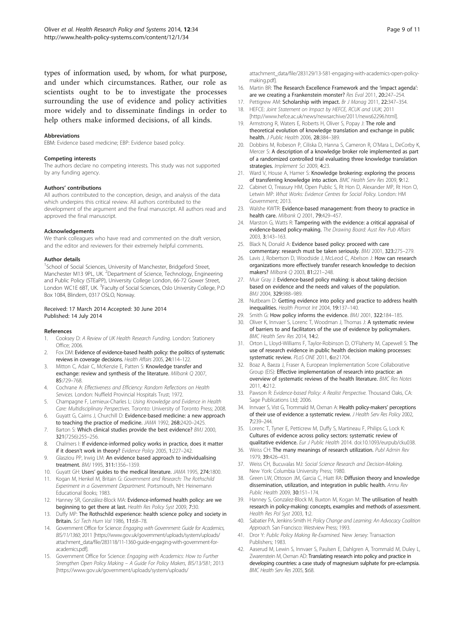<span id="page-8-0"></span>types of information used, by whom, for what purpose, and under which circumstances. Rather, our role as scientists ought to be to investigate the processes surrounding the use of evidence and policy activities more widely and to disseminate findings in order to help others make informed decisions, of all kinds.

#### Abbreviations

EBM: Evidence based medicine; EBP: Evidence based policy.

#### Competing interests

The authors declare no competing interests. This study was not supported by any funding agency.

#### Authors' contributions

All authors contributed to the conception, design, and analysis of the data which underpins this critical review. All authors contributed to the development of the argument and the final manuscript. All authors read and approved the final manuscript.

#### Acknowledgements

We thank colleagues who have read and commented on the draft version, and the editor and reviewers for their extremely helpful comments.

#### Author details

<sup>1</sup>School of Social Sciences, University of Manchester, Bridgeford Street, Manchester M13 9PL, UK. <sup>2</sup>Department of Science, Technology, Engineering and Public Policy (STEaPP), University College London, 66-72 Gower Street, London WC1E 6BT, UK. <sup>3</sup>Faculty of Social Sciences, Oslo University College, P.O Box 1084, Blindern, 0317 OSLO, Norway.

#### Received: 17 March 2014 Accepted: 30 June 2014 Published: 14 July 2014

#### References

- Cooksey D: A Review of UK Health Research Funding. London: Stationery Office; 2006.
- 2. Fox DM: Evidence of evidence-based health policy: the politics of systematic reviews in coverage decisions. Health Affairs 2005, 24:114–122.
- 3. Mitton C, Adair C, McKenzie E, Patten S: Knowledge transfer and exchange: review and synthesis of the literature. Milbank Q 2007, 85:729–768.
- 4. Cochrane A: Effectiveness and Efficiency: Random Reflections on Health Services. London: Nuffield Provincial Hospitals Trust; 1972.
- 5. Champagne F, Lemieux-Charles L: Using Knowledge and Evidence in Health Care: Multidisciplinary Perspectives. Toronto: University of Toronto Press; 2008.
- 6. Guyatt G, Cairns J, Churchill D: Evidence-based medicine: a new approach to teaching the practice of medicine. JAMA 1992, 268:2420–2425.
- 7. Barton S: Which clinical studies provide the best evidence? BMJ 2000, 321(7256):255–256.
- 8. Chalmers I: If evidence-informed policy works in practice, does it matter if it doesn't work in theory? Evidence Policy 2005, 1:227–242.
- 9. Glasziou PP, Irwig LM: An evidence based approach to individualising treatment. BMJ 1995, 311:1356–1359.
- 10. Guyatt GH: Users' guides to the medical literature. JAMA 1995, 274:1800.
- 11. Kogan M, Henkel M, Britain G: Government and Research: The Rothschild Experiment in a Government Department. Portsmouth, NH: Heinemann Educational Books; 1983.
- 12. Hanney SR, González-Block MA: Evidence-informed health policy: are we beginning to get there at last. Health Res Policy Syst 2009, 7:30.
- 13. Duffy MP: The Rothschild experience: health science policy and society in Britain. Sci Tech Hum Val 1986, 11:68–78.
- 14. Government Office for Science: Engaging with Government: Guide for Academics, BIS/11/1360; 2011 [[https://www.gov.uk/government/uploads/system/uploads/](https://www.gov.uk/government/uploads/system/uploads/attachment_data/file/283118/11-1360-guide-engaging-with-government-for-academics.pdf) [attachment\\_data/file/283118/11-1360-guide-engaging-with-government-for](https://www.gov.uk/government/uploads/system/uploads/attachment_data/file/283118/11-1360-guide-engaging-with-government-for-academics.pdf)[academics.pdf](https://www.gov.uk/government/uploads/system/uploads/attachment_data/file/283118/11-1360-guide-engaging-with-government-for-academics.pdf)].
- 15. Government Office for Science: Engaging with Academics: How to Further Strengthen Open Policy Making – A Guide For Policy Makers, BIS/13/581; 2013 [[https://www.gov.uk/government/uploads/system/uploads/](https://www.gov.uk/government/uploads/system/uploads/attachment_data/file/283129/13-581-engaging-with-academics-open-policy-making.pdf)

[attachment\\_data/file/283129/13-581-engaging-with-academics-open-policy](https://www.gov.uk/government/uploads/system/uploads/attachment_data/file/283129/13-581-engaging-with-academics-open-policy-making.pdf)[making.pdf\]](https://www.gov.uk/government/uploads/system/uploads/attachment_data/file/283129/13-581-engaging-with-academics-open-policy-making.pdf).

- 16. Martin BR: The Research Excellence Framework and the 'impact agenda': are we creating a Frankenstein monster? Res Eval 2011, 20:247-254.
- 17. Pettigrew AM: Scholarship with impact. Br J Manag 2011, 22:347-354.
- 18. HEFCE: Joint Statement on Impact by HEFCE, RCUK and UUK; 2011 [[http://www.hefce.ac.uk/news/newsarchive/2011/news62296.html\]](http://www.hefce.ac.uk/news/newsarchive/2011/news62296.html).
- 19. Armstrong R, Waters E, Roberts H, Oliver S, Popay J: The role and theoretical evolution of knowledge translation and exchange in public health. J Public Health 2006, 28:384–389.
- 20. Dobbins M, Robeson P, Ciliska D, Hanna S, Cameron R, O'Mara L, DeCorby K, Mercer S: A description of a knowledge broker role implemented as part of a randomized controlled trial evaluating three knowledge translation strategies. Implement Sci 2009, 4:23.
- 21. Ward V, House A, Hamer S: Knowledge brokering: exploring the process of transferring knowledge into action. BMC Health Serv Res 2009, 9:12.
- 22. Cabinet O, Treasury HM, Open Public S, Rt Hon D, Alexander MP, Rt Hon O, Letwin MP: What Works: Evidence Centres for Social Policy. London: HM Government; 2013.
- 23. Walshe KWTR: Evidence-based management: from theory to practice in health care. Milbank Q 2001, **79:**429-457.
- 24. Marston G, Watts R: Tampering with the evidence: a critical appraisal of evidence-based policy-making. The Drawing Board: Aust Rev Pub Affairs 2003, 3:143–163.
- 25. Black N, Donald A: Evidence based policy: proceed with care commentary: research must be taken seriously. BMJ 2001, 323:275–279.
- 26. Lavis J, Robertson D, Woodside J, McLeod C, Abelson J: How can research organizations more effectively transfer research knowledge to decision makers? Milbank Q 2003, 81:221–248.
- 27. Muir Gray J: Evidence-based policy making: is about taking decision based on evidence and the needs and values of the population. BMJ 2004, 329:988–989.
- 28. Nutbeam D: Getting evidence into policy and practice to address health inequalities. Health Promot Int 2004, 19:137–140.
- 29. Smith G: How policy informs the evidence. BMJ 2001, 322:184-185.
- 30. Oliver K, Innvaer S, Lorenc T, Woodman J, Thomas J: A systematic review of barriers to and facilitators of the use of evidence by policymakers. BMC Health Serv Res 2014, 14:2.
- 31. Orton L, Lloyd-Williams F, Taylor-Robinson D, O'Flaherty M, Capewell S: The use of research evidence in public health decision making processes: systematic review. PLoS ONE 2011, 6:e21704.
- 32. Boaz A, Baeza J, Fraser A, European Implementation Score Collaborative Group (EIS): Effective implementation of research into practice: an overview of systematic reviews of the health literature. BMC Res Notes 2011, 4:212.
- 33. Pawson R: Evidence-based Policy: A Realist Perspective. Thousand Oaks, CA: Sage Publications Ltd; 2006.
- 34. Innvaer S, Vist G, Trommald M, Oxman A: Health policy-makers' perceptions of their use of evidence: a systematic review. J Health Serv Res Policy 2002, 7:239–244.
- 35. Lorenc T, Tyner E, Petticrew M, Duffy S, Martineau F, Philips G, Lock K: Cultures of evidence across policy sectors: systematic review of qualitative evidence. Eur J Public Health 2014. doi:10.1093/eurpub/cku038.
- 36. Weiss CH: The many meanings of research utilization. Publ Admin Rev 1979, 39:426–431.
- 37. Weiss CH, Bucuvalas MJ: Social Science Research and Decision-Making. New York: Columbia University Press; 1980.
- 38. Green LW, Ottoson JM, Garcia C, Hiatt RA: Diffusion theory and knowledge dissemination, utilization, and integration in public health. Annu Rev Public Health 2009, 30:151–174.
- 39. Hanney S, Gonzalez-Block M, Buxton M, Kogan M: The utilisation of health research in policy-making: concepts, examples and methods of assessment. Health Res Pol Syst 2003, 1:2.
- 40. Sabatier PA, Jenkins-Smith H: Policy Change and Learning: An Advocacy Coalition Approach. San Francisco: Westview Press; 1993.
- 41. Dror Y: Public Policy Making Re-Examined. New Jersey: Transaction Publishers; 1983.
- 42. Aaserud M, Lewin S, Innvaer S, Paulsen E, Dahlgren A, Trommald M, Duley L, Zwarenstein M, Oxman AD: Translating research into policy and practice in developing countries: a case study of magnesium sulphate for pre-eclampsia. BMC Health Serv Res 2005, 5:68.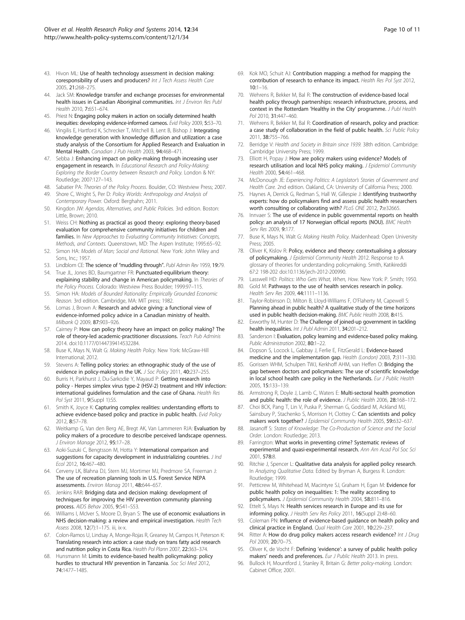- <span id="page-9-0"></span>43. Hivon ML: Use of health technology assessment in decision making: coresponsibility of users and producers? Int J Tech Assess Health Care 2005, 21:268–275.
- 44. Jack SM: Knowledge transfer and exchange processes for environmental health issues in Canadian Aboriginal communities. Int J Environ Res Publ Health 2010, 7:651–674.
- 45. Priest N: Engaging policy makers in action on socially determined health inequities: developing evidence-informed cameos. Evid Policy 2009, 5:53–70.
- 46. Vingilis E, Hartford K, Schrecker T, Mitchell B, Lent B, Bishop J: Integrating knowledge generation with knowledge diffusion and utilization: a case study analysis of the Consortium for Applied Research and Evaluation in Mental Health. Canadian J Pub Health 2003, 94:468–471.
- 47. Sebba J: Enhancing impact on policy-making through increasing user engagement in research. In Educational Research and Policy-Making: Exploring the Border Country between Research and Policy. London & NY: Routledge; 2007:127–143.
- 48. Sabatier PA: Theories of the Policy Process. Boulder, CO: Westview Press; 2007.
- 49. Shore C, Wright S, Per D: Policy Worlds: Anthropology and Analysis of Contemporary Power. Oxford: Berghahn; 2011.
- 50. Kingdon JW: Agendas, Alternatives, and Public Policies. 3rd edition. Boston: Little, Brown; 2010.
- 51. Weiss CH: Nothing as practical as good theory: exploring theory-based evaluation for comprehensive community initiatives for children and families. In New Approaches to Evaluating Community Initiatives: Concepts, Methods, and Contexts. Queenstown, MD: The Aspen Institute; 1995:65–92.
- 52. Simon HA: Models of Man; Social and Rational. New York: John Wiley and Sons, Inc.; 1957.
- 53. Lindblom CE: The science of "muddling through". Publ Admin Rev 1959, 19:79.
- 54. True JL, Jones BD, Baumgartner FR: Punctuated-equilibrium theory: explaining stability and change in American policymaking. In Theories of the Policy Process. Colorado: Westview Press Boulder; 1999:97–115.
- 55. Simon HA: Models of Bounded Rationality: Empirically Grounded Economic Reason. 3rd edition. Cambridge, MA: MIT press; 1982.
- 56. Lomas J, Brown A: Research and advice giving: a functional view of evidence-informed policy advice in a Canadian ministry of health. Milbank Q 2009, 87:903–926.
- 57. Cairney P: How can policy theory have an impact on policy making? The role of theory-led academic-practitioner discussions. Teach Pub Adminis 2014. doi:10.1177/0144739414532284.
- 58. Buse K, Mays N, Walt G: Making Health Policy. New York: McGraw-Hill International; 2012.
- 59. Stevens A: Telling policy stories: an ethnographic study of the use of evidence in policy-making in the UK. J Soc Policy 2011, 40:237-255.
- 60. Burris H, Parkhurst J, Du-Sarkodie Y, Mayaud P: Getting research into policy - Herpes simplex virus type-2 (HSV-2) treatment and HIV infection: international guidelines formulation and the case of Ghana. Health Res Pol Syst 2011, 9(Suppl 1):S5
- 61. Smith K, Joyce K: Capturing complex realities: understanding efforts to achieve evidence-based policy and practice in public health. Evid Policy 2012, 8:57–78.
- 62. Weitkamp G, Van den Berg AE, Bregt AK, Van Lammeren RJA: Evaluation by policy makers of a procedure to describe perceived landscape openness. J Environ Manage 2012, 95:17–28.
- 63. Aoki-Suzuki C, Bengtsson M, Hotta Y: International comparison and suggestions for capacity development in industrializing countries. J Ind Ecol 2012, 16:467–480.
- 64. Cerveny LK, Blahna DJ, Stern MJ, Mortimer MJ, Predmore SA, Freeman J: The use of recreation planning tools in U.S. Forest Service NEPA assessments. Environ Manag 2011, 48:644–657.
- 65. Jenkins RAR: Bridging data and decision making: development of techniques for improving the HIV prevention community planning process. AIDS Behav 2005, 9:S41–S53.
- 66. Williams I, McIver S, Moore D, Bryan S: The use of economic evaluations in NHS decision-making: a review and empirical investigation. Health Tech Assess 2008, 12(7):1-175. iii, ix-x.
- 67. Colon-Ramos U, Lindsay A, Monge-Rojas R, Greaney M, Campos H, Peterson K: Translating research into action: a case study on trans fatty acid research and nutrition policy in Costa Rica. Health Pol Plann 2007, 22:363–374.
- 68. Hunsmann M: Limits to evidence-based health policymaking: policy hurdles to structural HIV prevention in Tanzania. Soc Sci Med 2012, 74:1477–1485.
- 69. Kok MO, Schuit AJ: Contribution mapping: a method for mapping the contribution of research to enhance its impact. Health Res Pol Syst 2012,  $10:1-16$
- 70. Wehrens R, Bekker M, Bal R: The construction of evidence-based local health policy through partnerships: research infrastructure, process, and context in the Rotterdam 'Healthy in the City' programme. J Publ Health Pol 2010, 31:447–460.
- 71. Wehrens R, Bekker M, Bal R: Coordination of research, policy and practice: a case study of collaboration in the field of public health. Sci Public Policy 2011, 38:755–766.
- 72. Berridge V: Health and Society in Britain since 1939. 38th edition. Cambridge: Cambridge University Press; 1999.
- 73. Elliott H, Popay J: How are policy makers using evidence? Models of research utilisation and local NHS policy making. J Epidemiol Community Health 2000, 54:461–468.
- 74. McDonough JE: Experiencing Politics: A Legislator's Stories of Government and Health Care. 2nd edition. Oakland, CA: University of California Press; 2000.
- 75. Haynes A, Derrick G, Redman S, Hall W, Gillespie J: Identifying trustworthy experts: how do policymakers find and assess public health researchers worth consulting or collaborating with? PLoS ONE 2012, 7:e32665.
- 76. Innvaer S: The use of evidence in public governmental reports on health policy: an analysis of 17 Norwegian official reports (NOU). BMC Health Serv Res 2009, 9:177.
- 77. Buse K, Mays N, Walt G: Making Health Policy. Maidenhead: Open University Press; 2005.
- 78. Oliver K, Kislov R: Policy, evidence and theory: contextualising a glossary of policymaking. J Epidemiol Community Health 2012. Response to [A](http://jech.bmj.com/content/67/2/198) [glossary of theories for understanding policymaking.](http://jech.bmj.com/content/67/2/198) Smith, Katikireddi 67:2 198-202 doi:10.1136/jech-2012-200990.
- 79. Lasswell HD: Politics: Who Gets What, When, How. New York: P. Smith; 1950.
- 80. Gold M: Pathways to the use of health services research in policy. Health Serv Res 2009, 44:1111–1136.
- 81. Taylor-Robinson D, Milton B, Lloyd-Williams F, O'Flaherty M, Capewell S: Planning ahead in public health? A qualitative study of the time horizons used in public health decision-making. BMC Public Health 2008, 8:415.
- 82. Exworthy M, Hunter D: The Challenge of joined-up government in tackling health inequalities. Int J Publ Admin 2011, 34:201–212.
- 83. Sanderson I: Evaluation, policy learning and evidence-based policy making. Public Administration 2002, 80:1–22.
- 84. Dopson S, Locock L, Gabbay J, Ferlie E, FitzGerald L: Evidence-based medicine and the implementation gap. Health (London) 2003, 7:311–330.
- 85. Gorissen WHM, Schulpen TWJ, Kerkhoff AHM, van Heffen O: Bridging the gap between doctors and policymakers: The use of scientific knowledge in local school health care policy in the Netherlands. Eur J Public Health 2005, 15:133–139.
- 86. Armstrong R, Doyle J, Lamb C, Waters E: Multi-sectoral health promotion and public health: the role of evidence. J Public Health 2006, 28:168-172.
- 87. Choi BCK, Pang T, Lin V, Puska P, Sherman G, Goddard M, Ackland MJ, Sainsbury P, Stachenko S, Morrison H, Clottey C: Can scientists and policy makers work together? J Epidemiol Community Health 2005, 59:632-637
- 88. Jasanoff S: States of Knowledge: The Co-Production of Science and the Social Order. London: Routledge; 2013.
- 89. Farrington: What works in preventing crime? Systematic reviews of experimental and quasi-experimental research. Ann Am Acad Pol Soc Sci 2001, 578:8.
- 90. Ritchie J, Spencer L: Qualitative data analysis for applied policy research. In Analyzing Qualitative Data. Edited by Bryman A, Burgess R. London: Routledge; 1999.
- 91. Petticrew M, Whitehead M, Macintyre SJ, Graham H, Egan M: Evidence for public health policy on inequalities: 1: The reality according to policymakers. J Epidemiol Community Health 2004, 58:811-816.
- Ettelt S, Mays N: Health services research in Europe and its use for informing policy. J Health Serv Res Policy 2011, 16(Suppl 2):48-60.
- 93. Coleman PN: Influence of evidence-based guidance on health policy and clinical practice in England. Qual Health Care 2001, 10:229–237.
- 94. Ritter A: How do drug policy makers access research evidence? Int J Drug Pol 2009, 20:70-75.
- Oliver K, de Vocht F: Defining 'evidence': a survey of public health policy makers' needs and preferences. Eur J Public Health 2013. In press.
- 96. Bullock H, Mountford J, Stanley R, Britain G: Better policy-making. London: Cabinet Office; 2001.